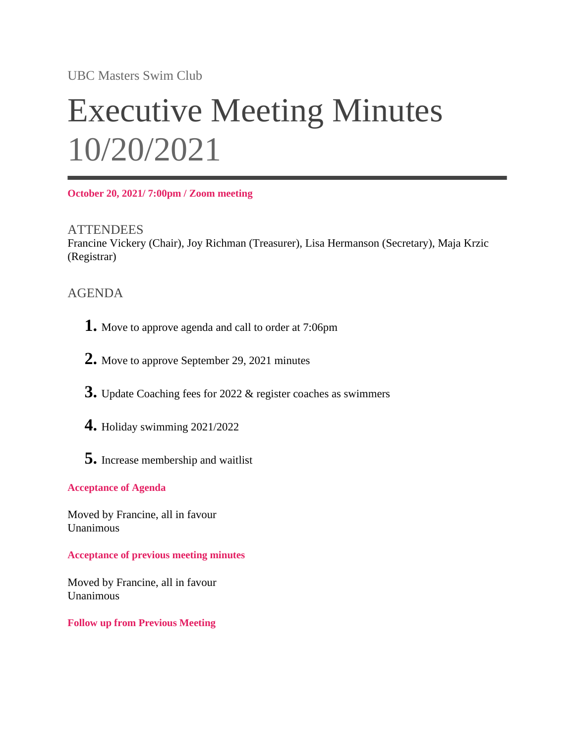UBC Masters Swim Club

# Executive Meeting Minutes 10/20/2021

**October 20, 2021/ 7:00pm / Zoom meeting**

**ATTENDEES** Francine Vickery (Chair), Joy Richman (Treasurer), Lisa Hermanson (Secretary), Maja Krzic (Registrar)

## AGENDA

- **1.** Move to approve agenda and call to order at 7:06pm
- **2.** Move to approve September 29, 2021 minutes
- **3.** Update Coaching fees for 2022 & register coaches as swimmers
- **4.** Holiday swimming 2021/2022
- **5.** Increase membership and waitlist

#### **Acceptance of Agenda**

Moved by Francine, all in favour Unanimous

**Acceptance of previous meeting minutes**

Moved by Francine, all in favour Unanimous

#### **Follow up from Previous Meeting**